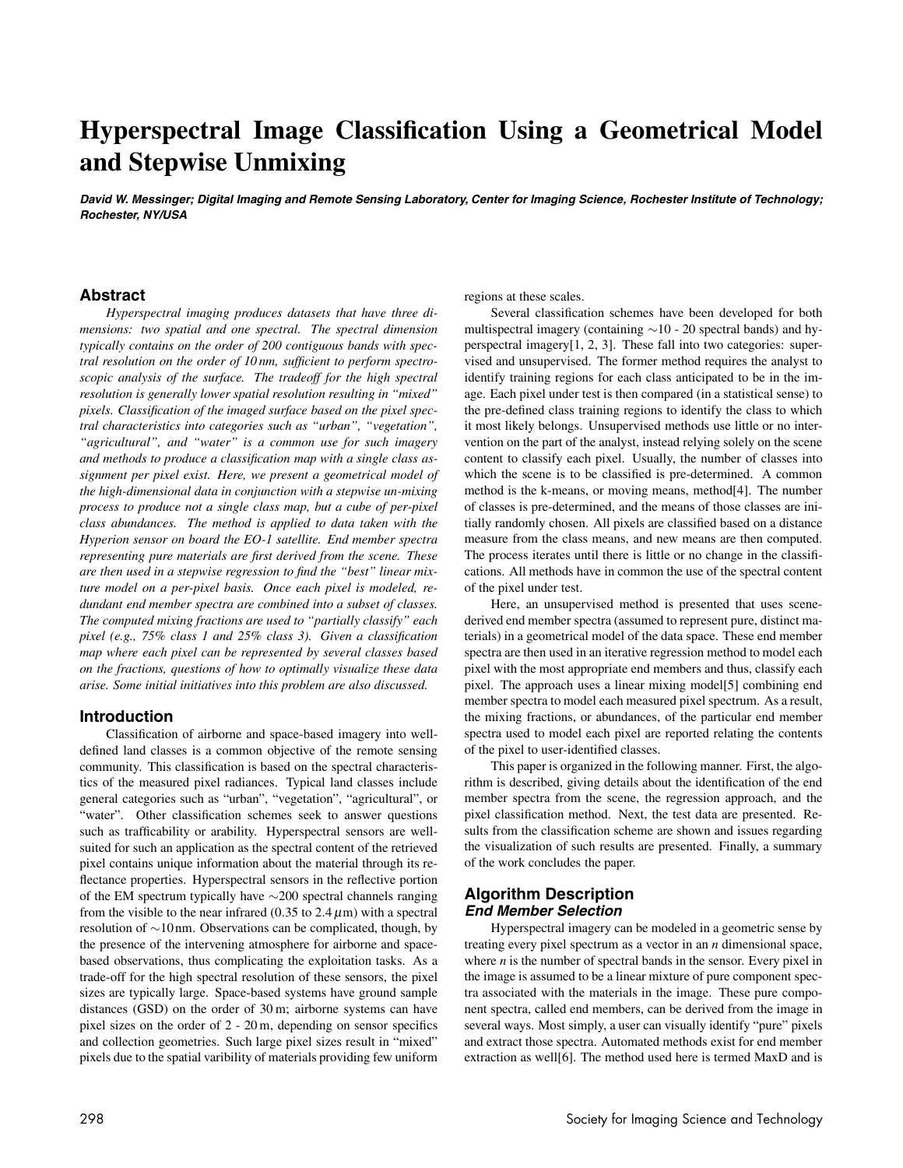# **Hyperspectral Image Classification Using a Geometrical Model and Stepwise Unmixing**

David W. Messinger; Digital Imaging and Remote Sensing Laboratory, Center for Imaging Science, Rochester Institute of Technology; **Rochester, NY/USA**

# **Abstract**

*Hyperspectral imaging produces datasets that have three dimensions: two spatial and one spectral. The spectral dimension typically contains on the order of 200 contiguous bands with spectral resolution on the order of 10 nm, sufficient to perform spectroscopic analysis of the surface. The tradeoff for the high spectral resolution is generally lower spatial resolution resulting in "mixed" pixels. Classification of the imaged surface based on the pixel spectral characteristics into categories such as "urban", "vegetation", "agricultural", and "water" is a common use for such imagery and methods to produce a classification map with a single class assignment per pixel exist. Here, we present a geometrical model of the high-dimensional data in conjunction with a stepwise un-mixing process to produce not a single class map, but a cube of per-pixel class abundances. The method is applied to data taken with the Hyperion sensor on board the EO-1 satellite. End member spectra representing pure materials are first derived from the scene. These are then used in a stepwise regression to find the "best" linear mixture model on a per-pixel basis. Once each pixel is modeled, redundant end member spectra are combined into a subset of classes. The computed mixing fractions are used to "partially classify" each pixel (e.g., 75% class 1 and 25% class 3). Given a classification map where each pixel can be represented by several classes based on the fractions, questions of how to optimally visualize these data arise. Some initial initiatives into this problem are also discussed.*

# **Introduction**

Classification of airborne and space-based imagery into welldefined land classes is a common objective of the remote sensing community. This classification is based on the spectral characteristics of the measured pixel radiances. Typical land classes include general categories such as "urban", "vegetation", "agricultural", or "water". Other classification schemes seek to answer questions such as trafficability or arability. Hyperspectral sensors are wellsuited for such an application as the spectral content of the retrieved pixel contains unique information about the material through its reflectance properties. Hyperspectral sensors in the reflective portion of the EM spectrum typically have ∼200 spectral channels ranging from the visible to the near infrared  $(0.35 \text{ to } 2.4 \mu \text{m})$  with a spectral resolution of ∼10 nm. Observations can be complicated, though, by the presence of the intervening atmosphere for airborne and spacebased observations, thus complicating the exploitation tasks. As a trade-off for the high spectral resolution of these sensors, the pixel sizes are typically large. Space-based systems have ground sample distances (GSD) on the order of 30 m; airborne systems can have pixel sizes on the order of 2 - 20 m, depending on sensor specifics and collection geometries. Such large pixel sizes result in "mixed" pixels due to the spatial varibility of materials providing few uniform regions at these scales.

Several classification schemes have been developed for both multispectral imagery (containing ∼10 - 20 spectral bands) and hyperspectral imagery[1, 2, 3]. These fall into two categories: supervised and unsupervised. The former method requires the analyst to identify training regions for each class anticipated to be in the image. Each pixel under test is then compared (in a statistical sense) to the pre-defined class training regions to identify the class to which it most likely belongs. Unsupervised methods use little or no intervention on the part of the analyst, instead relying solely on the scene content to classify each pixel. Usually, the number of classes into which the scene is to be classified is pre-determined. A common method is the k-means, or moving means, method[4]. The number of classes is pre-determined, and the means of those classes are initially randomly chosen. All pixels are classified based on a distance measure from the class means, and new means are then computed. The process iterates until there is little or no change in the classifications. All methods have in common the use of the spectral content of the pixel under test.

Here, an unsupervised method is presented that uses scenederived end member spectra (assumed to represent pure, distinct materials) in a geometrical model of the data space. These end member spectra are then used in an iterative regression method to model each pixel with the most appropriate end members and thus, classify each pixel. The approach uses a linear mixing model[5] combining end member spectra to model each measured pixel spectrum. As a result, the mixing fractions, or abundances, of the particular end member spectra used to model each pixel are reported relating the contents of the pixel to user-identified classes.

This paper is organized in the following manner. First, the algorithm is described, giving details about the identification of the end member spectra from the scene, the regression approach, and the pixel classification method. Next, the test data are presented. Results from the classification scheme are shown and issues regarding the visualization of such results are presented. Finally, a summary of the work concludes the paper.

### **Algorithm Description End Member Selection**

Hyperspectral imagery can be modeled in a geometric sense by treating every pixel spectrum as a vector in an *n* dimensional space, where *n* is the number of spectral bands in the sensor. Every pixel in the image is assumed to be a linear mixture of pure component spectra associated with the materials in the image. These pure component spectra, called end members, can be derived from the image in several ways. Most simply, a user can visually identify "pure" pixels and extract those spectra. Automated methods exist for end member extraction as well[6]. The method used here is termed MaxD and is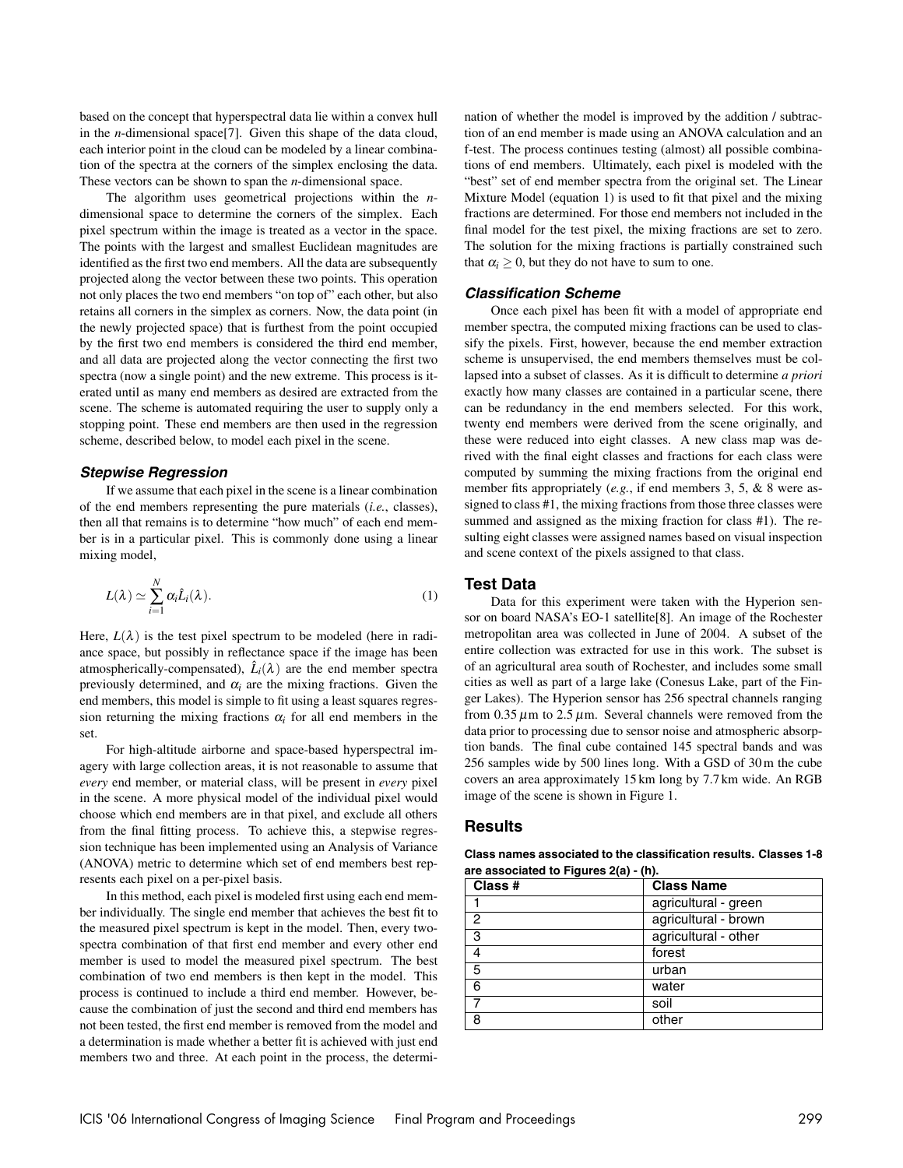based on the concept that hyperspectral data lie within a convex hull in the *n*-dimensional space[7]. Given this shape of the data cloud, each interior point in the cloud can be modeled by a linear combination of the spectra at the corners of the simplex enclosing the data. These vectors can be shown to span the *n*-dimensional space.

The algorithm uses geometrical projections within the *n*dimensional space to determine the corners of the simplex. Each pixel spectrum within the image is treated as a vector in the space. The points with the largest and smallest Euclidean magnitudes are identified as the first two end members. All the data are subsequently projected along the vector between these two points. This operation not only places the two end members "on top of" each other, but also retains all corners in the simplex as corners. Now, the data point (in the newly projected space) that is furthest from the point occupied by the first two end members is considered the third end member, and all data are projected along the vector connecting the first two spectra (now a single point) and the new extreme. This process is iterated until as many end members as desired are extracted from the scene. The scheme is automated requiring the user to supply only a stopping point. These end members are then used in the regression scheme, described below, to model each pixel in the scene.

#### **Stepwise Regression**

If we assume that each pixel in the scene is a linear combination of the end members representing the pure materials (*i.e.*, classes), then all that remains is to determine "how much" of each end member is in a particular pixel. This is commonly done using a linear mixing model,

$$
L(\lambda) \simeq \sum_{i=1}^{N} \alpha_i \hat{L}_i(\lambda).
$$
 (1)

Here,  $L(\lambda)$  is the test pixel spectrum to be modeled (here in radiance space, but possibly in reflectance space if the image has been atmospherically-compensated),  $\hat{L}_i(\lambda)$  are the end member spectra previously determined, and  $\alpha_i$  are the mixing fractions. Given the end members, this model is simple to fit using a least squares regression returning the mixing fractions  $\alpha_i$  for all end members in the set.

For high-altitude airborne and space-based hyperspectral imagery with large collection areas, it is not reasonable to assume that *every* end member, or material class, will be present in *every* pixel in the scene. A more physical model of the individual pixel would choose which end members are in that pixel, and exclude all others from the final fitting process. To achieve this, a stepwise regression technique has been implemented using an Analysis of Variance (ANOVA) metric to determine which set of end members best represents each pixel on a per-pixel basis.

In this method, each pixel is modeled first using each end member individually. The single end member that achieves the best fit to the measured pixel spectrum is kept in the model. Then, every twospectra combination of that first end member and every other end member is used to model the measured pixel spectrum. The best combination of two end members is then kept in the model. This process is continued to include a third end member. However, because the combination of just the second and third end members has not been tested, the first end member is removed from the model and a determination is made whether a better fit is achieved with just end members two and three. At each point in the process, the determination of whether the model is improved by the addition / subtraction of an end member is made using an ANOVA calculation and an f-test. The process continues testing (almost) all possible combinations of end members. Ultimately, each pixel is modeled with the "best" set of end member spectra from the original set. The Linear Mixture Model (equation 1) is used to fit that pixel and the mixing fractions are determined. For those end members not included in the final model for the test pixel, the mixing fractions are set to zero. The solution for the mixing fractions is partially constrained such that  $\alpha_i \geq 0$ , but they do not have to sum to one.

# **Classification Scheme**

Once each pixel has been fit with a model of appropriate end member spectra, the computed mixing fractions can be used to classify the pixels. First, however, because the end member extraction scheme is unsupervised, the end members themselves must be collapsed into a subset of classes. As it is difficult to determine *a priori* exactly how many classes are contained in a particular scene, there can be redundancy in the end members selected. For this work, twenty end members were derived from the scene originally, and these were reduced into eight classes. A new class map was derived with the final eight classes and fractions for each class were computed by summing the mixing fractions from the original end member fits appropriately (*e.g.*, if end members 3, 5, & 8 were assigned to class #1, the mixing fractions from those three classes were summed and assigned as the mixing fraction for class #1). The resulting eight classes were assigned names based on visual inspection and scene context of the pixels assigned to that class.

#### **Test Data**

Data for this experiment were taken with the Hyperion sensor on board NASA's EO-1 satellite[8]. An image of the Rochester metropolitan area was collected in June of 2004. A subset of the entire collection was extracted for use in this work. The subset is of an agricultural area south of Rochester, and includes some small cities as well as part of a large lake (Conesus Lake, part of the Finger Lakes). The Hyperion sensor has 256 spectral channels ranging from  $0.35 \mu$ m to  $2.5 \mu$ m. Several channels were removed from the data prior to processing due to sensor noise and atmospheric absorption bands. The final cube contained 145 spectral bands and was 256 samples wide by 500 lines long. With a GSD of 30 m the cube covers an area approximately 15 km long by 7.7 km wide. An RGB image of the scene is shown in Figure 1.

# **Results**

| Class #       | <b>Class Name</b>    |
|---------------|----------------------|
|               | agricultural - green |
| $\mathcal{P}$ | agricultural - brown |
| ్వె           | agricultural - other |
|               | forest               |
| -5            | urban                |
| 6             | water                |

7 soil 8 other

**Class names associated to the classification results. Classes 1-8 are associated to Figures 2(a) - (h).**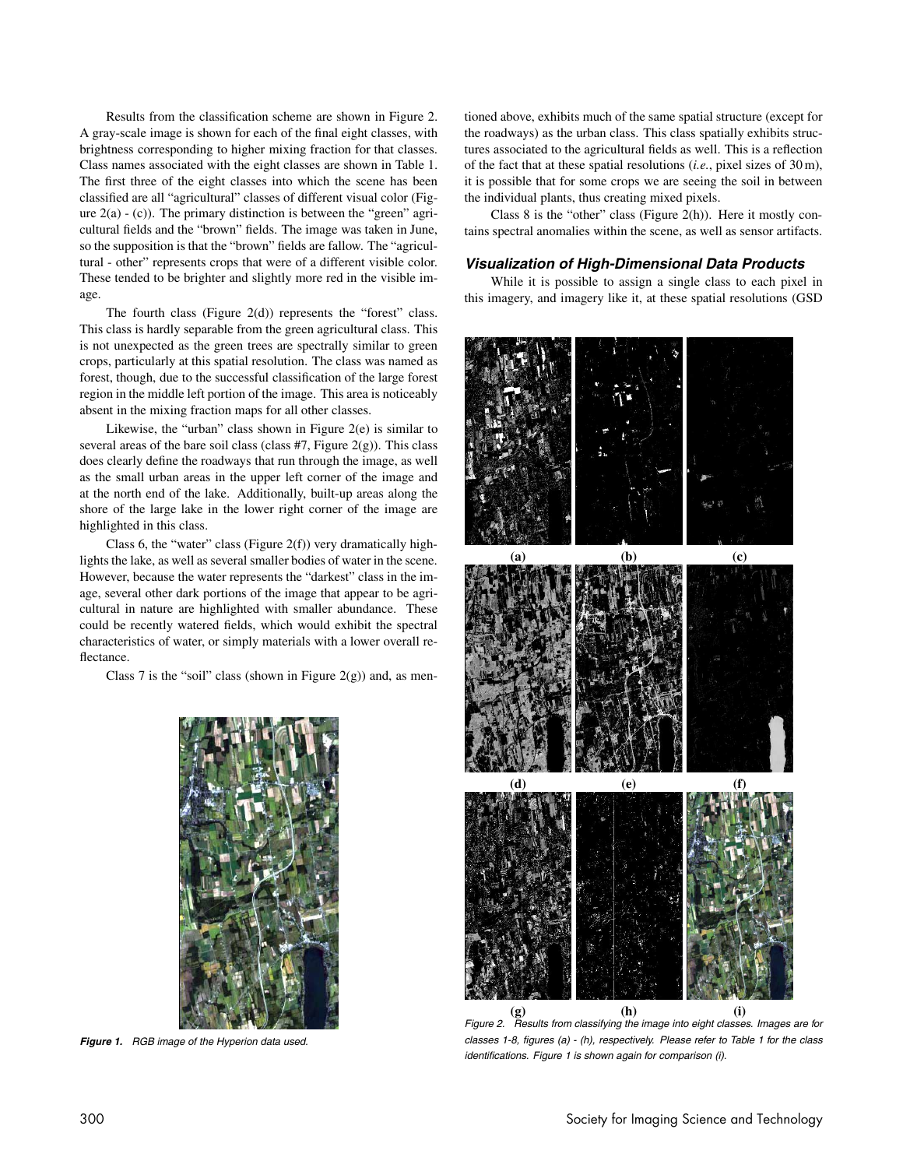Results from the classification scheme are shown in Figure 2. A gray-scale image is shown for each of the final eight classes, with brightness corresponding to higher mixing fraction for that classes. Class names associated with the eight classes are shown in Table 1. The first three of the eight classes into which the scene has been classified are all "agricultural" classes of different visual color (Figure  $2(a) - (c)$ ). The primary distinction is between the "green" agricultural fields and the "brown" fields. The image was taken in June, so the supposition is that the "brown" fields are fallow. The "agricultural - other" represents crops that were of a different visible color. These tended to be brighter and slightly more red in the visible image.

The fourth class (Figure 2(d)) represents the "forest" class. This class is hardly separable from the green agricultural class. This is not unexpected as the green trees are spectrally similar to green crops, particularly at this spatial resolution. The class was named as forest, though, due to the successful classification of the large forest region in the middle left portion of the image. This area is noticeably absent in the mixing fraction maps for all other classes.

Likewise, the "urban" class shown in Figure 2(e) is similar to several areas of the bare soil class (class  $#7$ , Figure 2(g)). This class does clearly define the roadways that run through the image, as well as the small urban areas in the upper left corner of the image and at the north end of the lake. Additionally, built-up areas along the shore of the large lake in the lower right corner of the image are highlighted in this class.

Class 6, the "water" class (Figure  $2(f)$ ) very dramatically highlights the lake, as well as several smaller bodies of water in the scene. However, because the water represents the "darkest" class in the image, several other dark portions of the image that appear to be agricultural in nature are highlighted with smaller abundance. These could be recently watered fields, which would exhibit the spectral characteristics of water, or simply materials with a lower overall reflectance.

Class 7 is the "soil" class (shown in Figure  $2(g)$ ) and, as men-



**Figure 1.** RGB image of the Hyperion data used.

tioned above, exhibits much of the same spatial structure (except for the roadways) as the urban class. This class spatially exhibits structures associated to the agricultural fields as well. This is a reflection of the fact that at these spatial resolutions (*i.e.*, pixel sizes of 30 m), it is possible that for some crops we are seeing the soil in between the individual plants, thus creating mixed pixels.

Class 8 is the "other" class (Figure 2(h)). Here it mostly contains spectral anomalies within the scene, as well as sensor artifacts.

#### **Visualization of High-Dimensional Data Products**

While it is possible to assign a single class to each pixel in this imagery, and imagery like it, at these spatial resolutions (GSD



classes 1-8, figures (a) - (h), respectively. Please refer to Table 1 for the class identifications. Figure 1 is shown again for comparison (i).